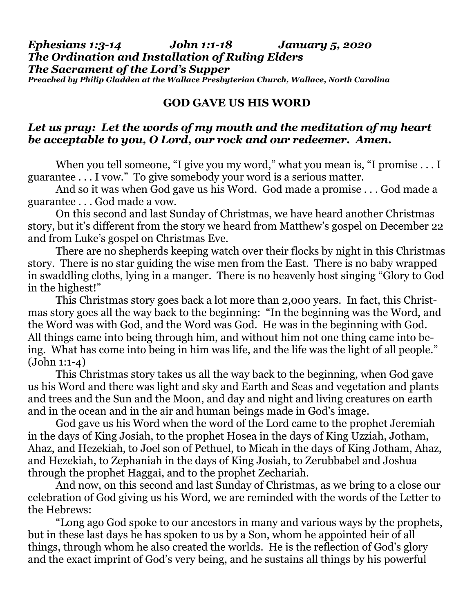## *Ephesians 1:3-14 John 1:1-18 January 5, 2020 The Ordination and Installation of Ruling Elders The Sacrament of the Lord's Supper Preached by Philip Gladden at the Wallace Presbyterian Church, Wallace, North Carolina*

## **GOD GAVE US HIS WORD**

## *Let us pray: Let the words of my mouth and the meditation of my heart be acceptable to you, O Lord, our rock and our redeemer. Amen.*

When you tell someone, "I give you my word," what you mean is, "I promise . . . I guarantee . . . I vow." To give somebody your word is a serious matter.

And so it was when God gave us his Word. God made a promise . . . God made a guarantee . . . God made a vow.

On this second and last Sunday of Christmas, we have heard another Christmas story, but it's different from the story we heard from Matthew's gospel on December 22 and from Luke's gospel on Christmas Eve.

There are no shepherds keeping watch over their flocks by night in this Christmas story. There is no star guiding the wise men from the East. There is no baby wrapped in swaddling cloths, lying in a manger. There is no heavenly host singing "Glory to God in the highest!"

This Christmas story goes back a lot more than 2,000 years. In fact, this Christmas story goes all the way back to the beginning: "In the beginning was the Word, and the Word was with God, and the Word was God. He was in the beginning with God. All things came into being through him, and without him not one thing came into being. What has come into being in him was life, and the life was the light of all people." (John 1:1-4)

This Christmas story takes us all the way back to the beginning, when God gave us his Word and there was light and sky and Earth and Seas and vegetation and plants and trees and the Sun and the Moon, and day and night and living creatures on earth and in the ocean and in the air and human beings made in God's image.

God gave us his Word when the word of the Lord came to the prophet Jeremiah in the days of King Josiah, to the prophet Hosea in the days of King Uzziah, Jotham, Ahaz, and Hezekiah, to Joel son of Pethuel, to Micah in the days of King Jotham, Ahaz, and Hezekiah, to Zephaniah in the days of King Josiah, to Zerubbabel and Joshua through the prophet Haggai, and to the prophet Zechariah.

And now, on this second and last Sunday of Christmas, as we bring to a close our celebration of God giving us his Word, we are reminded with the words of the Letter to the Hebrews:

"Long ago God spoke to our ancestors in many and various ways by the prophets, but in these last days he has spoken to us by a Son, whom he appointed heir of all things, through whom he also created the worlds. He is the reflection of God's glory and the exact imprint of God's very being, and he sustains all things by his powerful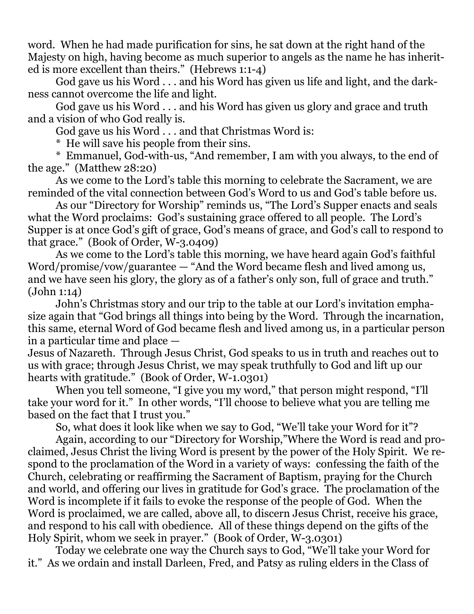word. When he had made purification for sins, he sat down at the right hand of the Majesty on high, having become as much superior to angels as the name he has inherited is more excellent than theirs." (Hebrews 1:1-4)

God gave us his Word . . . and his Word has given us life and light, and the darkness cannot overcome the life and light.

God gave us his Word . . . and his Word has given us glory and grace and truth and a vision of who God really is.

God gave us his Word . . . and that Christmas Word is:

\* He will save his people from their sins.

\* Emmanuel, God-with-us, "And remember, I am with you always, to the end of the age." (Matthew 28:20)

As we come to the Lord's table this morning to celebrate the Sacrament, we are reminded of the vital connection between God's Word to us and God's table before us.

As our "Directory for Worship" reminds us, "The Lord's Supper enacts and seals what the Word proclaims: God's sustaining grace offered to all people. The Lord's Supper is at once God's gift of grace, God's means of grace, and God's call to respond to that grace." (Book of Order, W-3.0409)

As we come to the Lord's table this morning, we have heard again God's faithful Word/promise/vow/guarantee — "And the Word became flesh and lived among us, and we have seen his glory, the glory as of a father's only son, full of grace and truth." (John 1:14)

John's Christmas story and our trip to the table at our Lord's invitation emphasize again that "God brings all things into being by the Word. Through the incarnation, this same, eternal Word of God became flesh and lived among us, in a particular person in a particular time and place —

Jesus of Nazareth. Through Jesus Christ, God speaks to us in truth and reaches out to us with grace; through Jesus Christ, we may speak truthfully to God and lift up our hearts with gratitude." (Book of Order, W-1.0301)

When you tell someone, "I give you my word," that person might respond, "I'll take your word for it." In other words, "I'll choose to believe what you are telling me based on the fact that I trust you."

So, what does it look like when we say to God, "We'll take your Word for it"?

Again, according to our "Directory for Worship,"Where the Word is read and proclaimed, Jesus Christ the living Word is present by the power of the Holy Spirit. We respond to the proclamation of the Word in a variety of ways: confessing the faith of the Church, celebrating or reaffirming the Sacrament of Baptism, praying for the Church and world, and offering our lives in gratitude for God's grace. The proclamation of the Word is incomplete if it fails to evoke the response of the people of God. When the Word is proclaimed, we are called, above all, to discern Jesus Christ, receive his grace, and respond to his call with obedience. All of these things depend on the gifts of the Holy Spirit, whom we seek in prayer." (Book of Order, W-3.0301)

Today we celebrate one way the Church says to God, "We'll take your Word for it." As we ordain and install Darleen, Fred, and Patsy as ruling elders in the Class of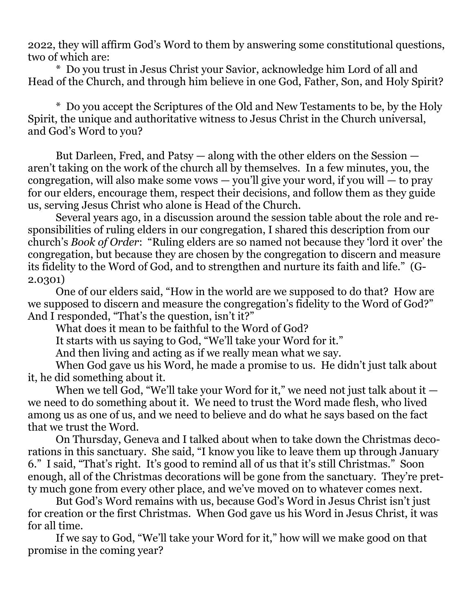2022, they will affirm God's Word to them by answering some constitutional questions, two of which are:

\* Do you trust in Jesus Christ your Savior, acknowledge him Lord of all and Head of the Church, and through him believe in one God, Father, Son, and Holy Spirit?

\* Do you accept the Scriptures of the Old and New Testaments to be, by the Holy Spirit, the unique and authoritative witness to Jesus Christ in the Church universal, and God's Word to you?

But Darleen, Fred, and Patsy — along with the other elders on the Session aren't taking on the work of the church all by themselves. In a few minutes, you, the congregation, will also make some vows  $-$  you'll give your word, if you will  $-$  to pray for our elders, encourage them, respect their decisions, and follow them as they guide us, serving Jesus Christ who alone is Head of the Church.

Several years ago, in a discussion around the session table about the role and responsibilities of ruling elders in our congregation, I shared this description from our church's *Book of Order*: "Ruling elders are so named not because they 'lord it over' the congregation, but because they are chosen by the congregation to discern and measure its fidelity to the Word of God, and to strengthen and nurture its faith and life." (G-2.0301)

One of our elders said, "How in the world are we supposed to do that? How are we supposed to discern and measure the congregation's fidelity to the Word of God?" And I responded, "That's the question, isn't it?"

What does it mean to be faithful to the Word of God?

It starts with us saying to God, "We'll take your Word for it."

And then living and acting as if we really mean what we say.

When God gave us his Word, he made a promise to us. He didn't just talk about it, he did something about it.

When we tell God, "We'll take your Word for it," we need not just talk about it  $$ we need to do something about it. We need to trust the Word made flesh, who lived among us as one of us, and we need to believe and do what he says based on the fact that we trust the Word.

On Thursday, Geneva and I talked about when to take down the Christmas decorations in this sanctuary. She said, "I know you like to leave them up through January 6." I said, "That's right. It's good to remind all of us that it's still Christmas." Soon enough, all of the Christmas decorations will be gone from the sanctuary. They're pretty much gone from every other place, and we've moved on to whatever comes next.

But God's Word remains with us, because God's Word in Jesus Christ isn't just for creation or the first Christmas. When God gave us his Word in Jesus Christ, it was for all time.

If we say to God, "We'll take your Word for it," how will we make good on that promise in the coming year?